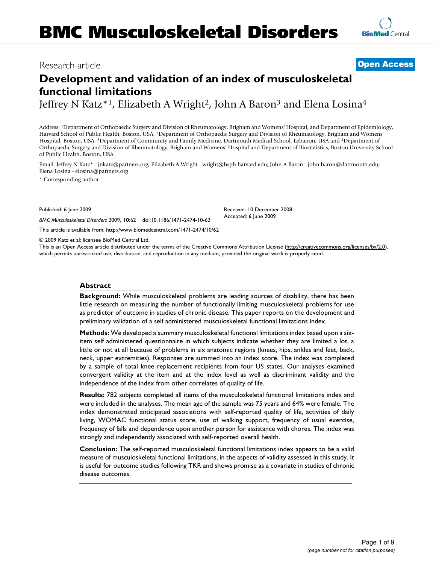# Research article **[Open Access](http://www.biomedcentral.com/info/about/charter/)**

# **Development and validation of an index of musculoskeletal functional limitations**

Jeffrey N Katz\*1, Elizabeth A Wright2, John A Baron3 and Elena Losina4

Address: 1Department of Orthopaedic Surgery and Division of Rheumatology, Brigham and Womens' Hospital, and Department of Epidemiology, Harvard School of Public Health, Boston, USA, 2Department of Orthopaedic Surgery and Division of Rheumatology, Brigham and Womens' Hospital, Boston, USA, 3Department of Community and Family Medicine, Dartmouth Medical School, Lebanon, USA and 4Department of Orthopaedic Surgery and Division of Rheumatology, Brigham and Womens' Hospital and Department of Biostatistics, Boston University School of Public Health, Boston, USA

Email: Jeffrey N Katz\* - jnkatz@partners.org; Elizabeth A Wright - wright@hsph.harvard.edu; John A Baron - john.baron@dartmouth.edu; Elena Losina - elosina@partners.org

\* Corresponding author

Published: 6 June 2009

Received: 10 December 2008 Accepted: 6 June 2009

[This article is available from: http://www.biomedcentral.com/1471-2474/10/62](http://www.biomedcentral.com/1471-2474/10/62)

*BMC Musculoskeletal Disorders* 2009, **10**:62 doi:10.1186/1471-2474-10-62

© 2009 Katz et al; licensee BioMed Central Ltd.

This is an Open Access article distributed under the terms of the Creative Commons Attribution License [\(http://creativecommons.org/licenses/by/2.0\)](http://creativecommons.org/licenses/by/2.0), which permits unrestricted use, distribution, and reproduction in any medium, provided the original work is properly cited.

### **Abstract**

**Background:** While musculoskeletal problems are leading sources of disability, there has been little research on measuring the number of functionally limiting musculoskeletal problems for use as predictor of outcome in studies of chronic disease. This paper reports on the development and preliminary validation of a self administered musculoskeletal functional limitations index.

**Methods:** We developed a summary musculoskeletal functional limitations index based upon a sixitem self administered questionnaire in which subjects indicate whether they are limited a lot, a little or not at all because of problems in six anatomic regions (knees, hips, ankles and feet, back, neck, upper extremities). Responses are summed into an index score. The index was completed by a sample of total knee replacement recipients from four US states. Our analyses examined convergent validity at the item and at the index level as well as discriminant validity and the independence of the index from other correlates of quality of life.

**Results:** 782 subjects completed all items of the musculoskeletal functional limitations index and were included in the analyses. The mean age of the sample was 75 years and 64% were female. The index demonstrated anticipated associations with self-reported quality of life, activities of daily living, WOMAC functional status score, use of walking support, frequency of usual exercise, frequency of falls and dependence upon another person for assistance with chores. The index was strongly and independently associated with self-reported overall health.

**Conclusion:** The self-reported musculoskeletal functional limitations index appears to be a valid measure of musculoskeletal functional limitations, in the aspects of validity assessed in this study. It is useful for outcome studies following TKR and shows promise as a covariate in studies of chronic disease outcomes.

**[BioMed](http://www.biomedcentral.com/)** Central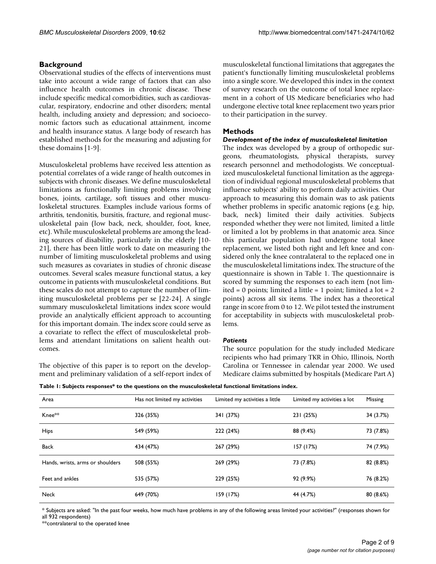# **Background**

Observational studies of the effects of interventions must take into account a wide range of factors that can also influence health outcomes in chronic disease. These include specific medical comorbidities, such as cardiovascular, respiratory, endocrine and other disorders; mental health, including anxiety and depression; and socioeconomic factors such as educational attainment, income and health insurance status. A large body of research has established methods for the measuring and adjusting for these domains [1-9].

Musculoskeletal problems have received less attention as potential correlates of a wide range of health outcomes in subjects with chronic diseases. We define musculoskeletal limitations as functionally limiting problems involving bones, joints, cartilage, soft tissues and other musculoskeletal structures. Examples include various forms of arthritis, tendonitis, bursitis, fracture, and regional musculoskeletal pain (low back, neck, shoulder, foot, knee, etc). While musculoskeletal problems are among the leading sources of disability, particularly in the elderly [10- 21], there has been little work to date on measuring the number of limiting musculoskeletal problems and using such measures as covariates in studies of chronic disease outcomes. Several scales measure functional status, a key outcome in patients with musculoskeletal conditions. But these scales do not attempt to capture the number of limiting musculoskeletal problems per se [22-24]. A single summary musculoskeletal limitations index score would provide an analytically efficient approach to accounting for this important domain. The index score could serve as a covariate to reflect the effect of musculoskeletal problems and attendant limitations on salient health outcomes.

The objective of this paper is to report on the development and preliminary validation of a self-report index of musculoskeletal functional limitations that aggregates the patient's functionally limiting musculoskeletal problems into a single score. We developed this index in the context of survey research on the outcome of total knee replacement in a cohort of US Medicare beneficiaries who had undergone elective total knee replacement two years prior to their participation in the survey.

# **Methods**

### *Development of the index of musculoskeletal limitation*

The index was developed by a group of orthopedic surgeons, rheumatologists, physical therapists, survey research personnel and methodologists. We conceptualized musculoskeletal functional limitation as the aggregation of individual regional musculoskeletal problems that influence subjects' ability to perform daily activities. Our approach to measuring this domain was to ask patients whether problems in specific anatomic regions (e.g. hip, back, neck) limited their daily activities. Subjects responded whether they were not limited, limited a little or limited a lot by problems in that anatomic area. Since this particular population had undergone total knee replacement, we listed both right and left knee and considered only the knee contralateral to the replaced one in the musculoskeletal limitations index. The structure of the questionnaire is shown in Table 1. The questionnaire is scored by summing the responses to each item (not limited = 0 points; limited a little = 1 point; limited a lot = 2 points) across all six items. The index has a theoretical range in score from 0 to 12. We pilot tested the instrument for acceptability in subjects with musculoskeletal problems.

# *Patients*

The source population for the study included Medicare recipients who had primary TKR in Ohio, Illinois, North Carolina or Tennessee in calendar year 2000. We used Medicare claims submitted by hospitals (Medicare Part A)

**Table 1: Subjects responses\* to the questions on the musculoskeletal functional limitations index.**

| Area                             | Has not limited my activities | Limited my activities a little | Limited my activities a lot | Missing   |
|----------------------------------|-------------------------------|--------------------------------|-----------------------------|-----------|
| Knee <sup>**</sup>               | 326 (35%)                     | 341 (37%)                      | 231 (25%)                   | 34 (3.7%) |
| <b>Hips</b>                      | 549 (59%)                     | 222 (24%)                      | 88 (9.4%)                   | 73 (7.8%) |
| <b>Back</b>                      | 434 (47%)                     | 267 (29%)                      | 157 (17%)                   | 74 (7.9%) |
| Hands, wrists, arms or shoulders | 508 (55%)                     | 269 (29%)                      | 73 (7.8%)                   | 82 (8.8%) |
| Feet and ankles                  | 535 (57%)                     | 229 (25%)                      | 92 (9.9%)                   | 76 (8.2%) |
| <b>Neck</b>                      | 649 (70%)                     | 159 (17%)                      | 44 (4.7%)                   | 80 (8.6%) |

\* Subjects are asked: "In the past four weeks, how much have problems in any of the following areas limited your activities?" (responses shown for all 932 respondents)

\*\*contralateral to the operated knee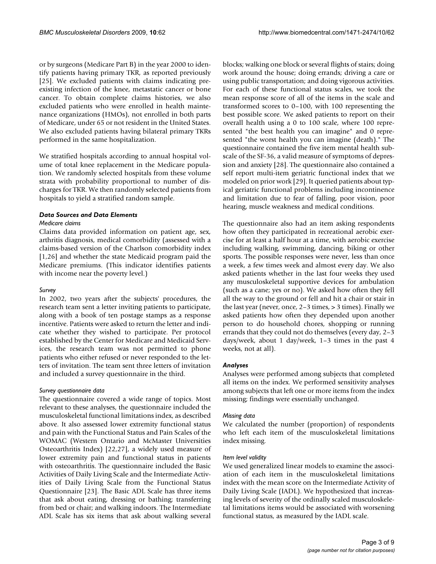or by surgeons (Medicare Part B) in the year 2000 to identify patients having primary TKR, as reported previously [25]. We excluded patients with claims indicating preexisting infection of the knee, metastatic cancer or bone cancer. To obtain complete claims histories, we also excluded patients who were enrolled in health maintenance organizations (HMOs), not enrolled in both parts of Medicare, under 65 or not resident in the United States. We also excluded patients having bilateral primary TKRs performed in the same hospitalization.

We stratified hospitals according to annual hospital volume of total knee replacement in the Medicare population. We randomly selected hospitals from these volume strata with probability proportional to number of discharges for TKR. We then randomly selected patients from hospitals to yield a stratified random sample.

# *Data Sources and Data Elements*

# *Medicare claims*

Claims data provided information on patient age, sex, arthritis diagnosis, medical comorbidity (assessed with a claims-based version of the Charlson comorbidity index [1,26] and whether the state Medicaid program paid the Medicare premiums. (This indicator identifies patients with income near the poverty level.)

# *Survey*

In 2002, two years after the subjects' procedures, the research team sent a letter inviting patients to participate, along with a book of ten postage stamps as a response incentive. Patients were asked to return the letter and indicate whether they wished to participate. Per protocol established by the Center for Medicare and Medicaid Services, the research team was not permitted to phone patients who either refused or never responded to the letters of invitation. The team sent three letters of invitation and included a survey questionnaire in the third.

# *Survey questionnaire data*

The questionnaire covered a wide range of topics. Most relevant to these analyses, the questionnaire included the musculoskeletal functional limitations index, as described above. It also assessed lower extremity functional status and pain with the Functional Status and Pain Scales of the WOMAC (Western Ontario and McMaster Universities Osteoarthritis Index) [22,27], a widely used measure of lower extremity pain and functional status in patients with osteoarthritis. The questionnaire included the Basic Activities of Daily Living Scale and the Intermediate Activities of Daily Living Scale from the Functional Status Questionnaire [23]. The Basic ADL Scale has three items that ask about eating, dressing or bathing; transferring from bed or chair; and walking indoors. The Intermediate ADL Scale has six items that ask about walking several

blocks; walking one block or several flights of stairs; doing work around the house; doing errands; driving a care or using public transportation; and doing vigorous activities. For each of these functional status scales, we took the mean response score of all of the items in the scale and transformed scores to 0–100, with 100 representing the best possible score. We asked patients to report on their overall health using a 0 to 100 scale, where 100 represented "the best health you can imagine" and 0 represented "the worst health you can imagine (death)." The questionnaire contained the five item mental health subscale of the SF-36, a valid measure of symptoms of depression and anxiety [28]. The questionnaire also contained a self report multi-item geriatric functional index that we modeled on prior work [29]. It queried patients about typical geriatric functional problems including incontinence and limitation due to fear of falling, poor vision, poor hearing, muscle weakness and medical conditions.

The questionnaire also had an item asking respondents how often they participated in recreational aerobic exercise for at least a half hour at a time, with aerobic exercise including walking, swimming, dancing, biking or other sports. The possible responses were never, less than once a week, a few times week and almost every day. We also asked patients whether in the last four weeks they used any musculoskeletal supportive devices for ambulation (such as a cane; yes or no). We asked how often they fell all the way to the ground or fell and hit a chair or stair in the last year (never, once, 2–3 times, > 3 times). Finally we asked patients how often they depended upon another person to do household chores, shopping or running errands that they could not do themselves (every day, 2–3 days/week, about 1 day/week, 1–3 times in the past 4 weeks, not at all).

# *Analyses*

Analyses were performed among subjects that completed all items on the index. We performed sensitivity analyses among subjects that left one or more items from the index missing; findings were essentially unchanged.

# *Missing data*

We calculated the number (proportion) of respondents who left each item of the musculoskeletal limitations index missing.

# *Item level validity*

We used generalized linear models to examine the association of each item in the musculoskeletal limitations index with the mean score on the Intermediate Activity of Daily Living Scale (IADL). We hypothesized that increasing levels of severity of the ordinally scaled musculoskeletal limitations items would be associated with worsening functional status, as measured by the IADL scale.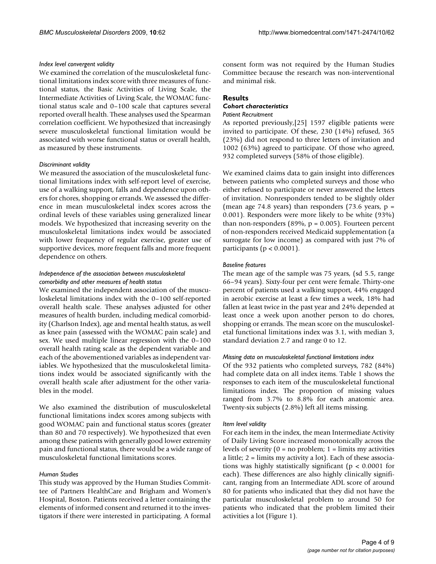### *Index level convergent validity*

We examined the correlation of the musculoskeletal functional limitations index score with three measures of functional status, the Basic Activities of Living Scale, the Intermediate Activities of Living Scale, the WOMAC functional status scale and 0–100 scale that captures several reported overall health. These analyses used the Spearman correlation coefficient. We hypothesized that increasingly severe musculoskeletal functional limitation would be associated with worse functional status or overall health, as measured by these instruments.

### *Discriminant validity*

We measured the association of the musculoskeletal functional limitations index with self-report level of exercise, use of a walking support, falls and dependence upon others for chores, shopping or errands. We assessed the difference in mean musculoskeletal index scores across the ordinal levels of these variables using generalized linear models. We hypothesized that increasing severity on the musculoskeletal limitations index would be associated with lower frequency of regular exercise, greater use of supportive devices, more frequent falls and more frequent dependence on others.

### *Independence of the association between musculoskeletal comorbidity and other measures of health status*

We examined the independent association of the musculoskeletal limitations index with the 0–100 self-reported overall health scale. These analyses adjusted for other measures of health burden, including medical comorbidity (Charlson Index), age and mental health status, as well as knee pain (assessed with the WOMAC pain scale) and sex. We used multiple linear regression with the 0–100 overall health rating scale as the dependent variable and each of the abovementioned variables as independent variables. We hypothesized that the musculoskeletal limitations index would be associated significantly with the overall health scale after adjustment for the other variables in the model.

We also examined the distribution of musculoskeletal functional limitations index scores among subjects with good WOMAC pain and functional status scores (greater than 80 and 70 respectively). We hypothesized that even among these patients with generally good lower extremity pain and functional status, there would be a wide range of musculoskeletal functional limitations scores.

# *Human Studies*

This study was approved by the Human Studies Committee of Partners HealthCare and Brigham and Women's Hospital, Boston. Patients received a letter containing the elements of informed consent and returned it to the investigators if there were interested in participating. A formal

consent form was not required by the Human Studies Committee because the research was non-interventional and minimal risk.

# **Results** *Cohort characteristics*

#### *Patient Recruitment*

As reported previously,[25] 1597 eligible patients were invited to participate. Of these, 230 (14%) refused, 365 (23%) did not respond to three letters of invitation and 1002 (63%) agreed to participate. Of those who agreed, 932 completed surveys (58% of those eligible).

We examined claims data to gain insight into differences between patients who completed surveys and those who either refused to participate or never answered the letters of invitation. Nonresponders tended to be slightly older (mean age 74.8 years) than responders (73.6 years,  $p =$ 0.001). Responders were more likely to be white (93%) than non-responders (89%,  $p = 0.005$ ). Fourteen percent of non-responders received Medicaid supplementation (a surrogate for low income) as compared with just 7% of participants ( $p < 0.0001$ ).

### *Baseline features*

The mean age of the sample was 75 years, (sd 5.5, range 66–94 years). Sixty-four per cent were female. Thirty-one percent of patients used a walking support, 44% engaged in aerobic exercise at least a few times a week, 18% had fallen at least twice in the past year and 24% depended at least once a week upon another person to do chores, shopping or errands. The mean score on the musculoskeletal functional limitations index was 3.1, with median 3, standard deviation 2.7 and range 0 to 12.

### *Missing data on musculoskeletal functional limitations index*

Of the 932 patients who completed surveys, 782 (84%) had complete data on all index items. Table 1 shows the responses to each item of the musculoskeletal functional limitations index. The proportion of missing values ranged from 3.7% to 8.8% for each anatomic area. Twenty-six subjects (2.8%) left all items missing.

### *Item level validity*

For each item in the index, the mean Intermediate Activity of Daily Living Score increased monotonically across the levels of severity  $(0 = no problem; 1 = limits my activities)$ a little; 2 = limits my activity a lot). Each of these associations was highly statistically significant ( $p < 0.0001$  for each). These differences are also highly clinically significant, ranging from an Intermediate ADL score of around 80 for patients who indicated that they did not have the particular musculoskeletal problem to around 50 for patients who indicated that the problem limited their activities a lot (Figure 1).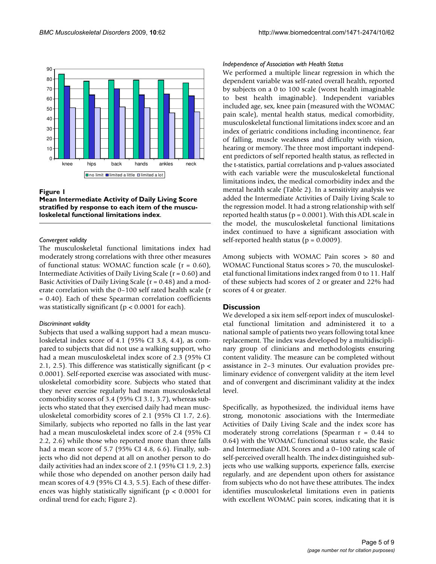

### Figure 1



### *Convergent validity*

The musculoskeletal functional limitations index had moderately strong correlations with three other measures of functional status: WOMAC function scale  $(r = 0.60)$ , Intermediate Activities of Daily Living Scale (r = 0.60) and Basic Activities of Daily Living Scale (r = 0.48) and a moderate correlation with the 0–100 self rated health scale (r = 0.40). Each of these Spearman correlation coefficients was statistically significant ( $p < 0.0001$  for each).

# *Discriminant validity*

Subjects that used a walking support had a mean musculoskeletal index score of 4.1 (95% CI 3.8, 4.4), as compared to subjects that did not use a walking support, who had a mean musculoskeletal index score of 2.3 (95% CI 2.1, 2.5). This difference was statistically significant ( $p <$ 0.0001). Self-reported exercise was associated with musculoskeletal comorbidity score. Subjects who stated that they never exercise regularly had mean musculoskeletal comorbidity scores of 3.4 (95% CI 3.1, 3.7), whereas subjects who stated that they exercised daily had mean musculoskeletal comorbidity scores of 2.1 (95% CI 1.7, 2.6). Similarly, subjects who reported no falls in the last year had a mean musculoskeletal index score of 2.4 (95% CI 2.2, 2.6) while those who reported more than three falls had a mean score of 5.7 (95% CI 4.8, 6.6). Finally, subjects who did not depend at all on another person to do daily activities had an index score of 2.1 (95% CI 1.9, 2.3) while those who depended on another person daily had mean scores of 4.9 (95% CI 4.3, 5.5). Each of these differences was highly statistically significant (p < 0.0001 for ordinal trend for each; Figure 2).

### *Independence of Association with Health Status*

We performed a multiple linear regression in which the dependent variable was self-rated overall health, reported by subjects on a 0 to 100 scale (worst health imaginable to best health imaginable). Independent variables included age, sex, knee pain (measured with the WOMAC pain scale), mental health status, medical comorbidity, musculoskeletal functional limitations index score and an index of geriatric conditions including incontinence, fear of falling, muscle weakness and difficulty with vision, hearing or memory. The three most important independent predictors of self reported health status, as reflected in the t-statistics, partial correlations and p-values associated with each variable were the musculoskeletal functional limitations index, the medical comorbidity index and the mental health scale (Table 2). In a sensitivity analysis we added the Intermediate Activities of Daily Living Scale to the regression model. It had a strong relationship with self reported health status ( $p = 0.0001$ ). With this ADL scale in the model, the musculoskeletal functional limitations index continued to have a significant association with self-reported health status ( $p = 0.0009$ ).

Among subjects with WOMAC Pain scores > 80 and WOMAC Functional Status scores > 70, the musculoskeletal functional limitations index ranged from 0 to 11. Half of these subjects had scores of 2 or greater and 22% had scores of 4 or greater.

# **Discussion**

We developed a six item self-report index of musculoskeletal functional limitation and administered it to a national sample of patients two years following total knee replacement. The index was developed by a multidisciplinary group of clinicians and methodologists ensuring content validity. The measure can be completed without assistance in 2–3 minutes. Our evaluation provides preliminary evidence of convergent validity at the item level and of convergent and discriminant validity at the index level.

Specifically, as hypothesized, the individual items have strong, monotonic associations with the Intermediate Activities of Daily Living Scale and the index score has moderately strong correlations (Spearman r = 0.44 to 0.64) with the WOMAC functional status scale, the Basic and Intermediate ADL Scores and a 0–100 rating scale of self-perceived overall health. The index distinguished subjects who use walking supports, experience falls, exercise regularly, and are dependent upon others for assistance from subjects who do not have these attributes. The index identifies musculoskeletal limitations even in patients with excellent WOMAC pain scores, indicating that it is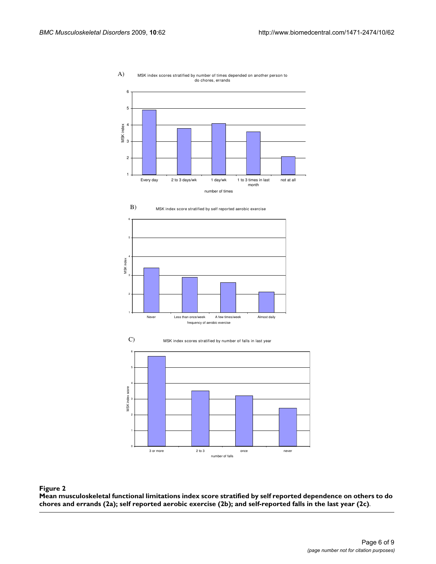

A) MSK index scores stratified by number of times depended on another person to do chores, errands





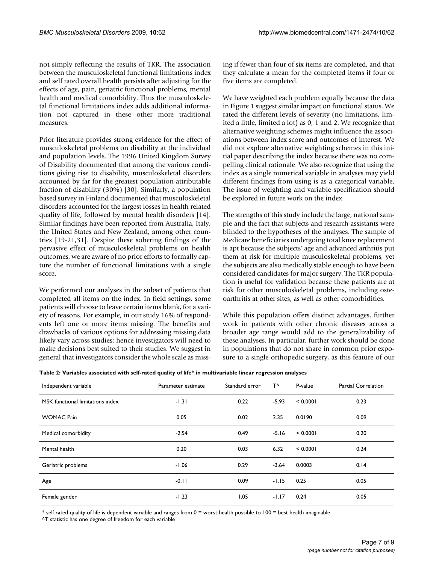not simply reflecting the results of TKR. The association between the musculoskeletal functional limitations index and self rated overall health persists after adjusting for the effects of age, pain, geriatric functional problems, mental health and medical comorbidity. Thus the musculoskeletal functional limitations index adds additional information not captured in these other more traditional measures.

Prior literature provides strong evidence for the effect of musculoskeletal problems on disability at the individual and population levels. The 1996 United Kingdom Survey of Disability documented that among the various conditions giving rise to disability, musculoskeletal disorders accounted by far for the greatest population-attributable fraction of disability (30%) [30]. Similarly, a population based survey in Finland documented that musculoskeletal disorders accounted for the largest losses in health related quality of life, followed by mental health disorders [14]. Similar findings have been reported from Australia, Italy, the United States and New Zealand, among other countries [19-21,31]. Despite these sobering findings of the pervasive effect of musculoskeletal problems on health outcomes, we are aware of no prior efforts to formally capture the number of functional limitations with a single score.

We performed our analyses in the subset of patients that completed all items on the index. In field settings, some patients will choose to leave certain items blank, for a variety of reasons. For example, in our study 16% of respondents left one or more items missing. The benefits and drawbacks of various options for addressing missing data likely vary across studies; hence investigators will need to make decisions best suited to their studies. We suggest in general that investigators consider the whole scale as missing if fewer than four of six items are completed, and that they calculate a mean for the completed items if four or five items are completed.

We have weighted each problem equally because the data in Figure 1 suggest similar impact on functional status. We rated the different levels of severity (no limitations, limited a little, limited a lot) as 0, 1 and 2. We recognize that alternative weighting schemes might influence the associations between index score and outcomes of interest. We did not explore alternative weighting schemes in this initial paper describing the index because there was no compelling clinical rationale. We also recognize that using the index as a single numerical variable in analyses may yield different findings from using is as a categorical variable. The issue of weighting and variable specification should be explored in future work on the index.

The strengths of this study include the large, national sample and the fact that subjects and research assistants were blinded to the hypotheses of the analyses. The sample of Medicare beneficiaries undergoing total knee replacement is apt because the subjects' age and advanced arthritis put them at risk for multiple musculoskeletal problems, yet the subjects are also medically stable enough to have been considered candidates for major surgery. The TKR population is useful for validation because these patients are at risk for other musculoskeletal problems, including osteoarthritis at other sites, as well as other comorbidities.

While this population offers distinct advantages, further work in patients with other chronic diseases across a broader age range would add to the generalizability of these analyses. In particular, further work should be done in populations that do not share in common prior exposure to a single orthopedic surgery, as this feature of our

| Independent variable             | Parameter estimate | Standard error | T۸      | P-value  | <b>Partial Correlation</b> |
|----------------------------------|--------------------|----------------|---------|----------|----------------------------|
| MSK functional limitations index | $-1.31$            | 0.22           | $-5.93$ | < 0.0001 | 0.23                       |
| <b>WOMAC Pain</b>                | 0.05               | 0.02           | 2.35    | 0.0190   | 0.09                       |
| Medical comorbidity              | $-2.54$            | 0.49           | $-5.16$ | < 0.0001 | 0.20                       |
| Mental health                    | 0.20               | 0.03           | 6.32    | < 0.0001 | 0.24                       |
| Geriatric problems               | $-1.06$            | 0.29           | $-3.64$ | 0.0003   | 0.14                       |
| Age                              | $-0.11$            | 0.09           | $-1.15$ | 0.25     | 0.05                       |
| Female gender                    | $-1.23$            | 1.05           | $-1.17$ | 0.24     | 0.05                       |

\* self rated quality of life is dependent variable and ranges from 0 = worst health possible to 100 = best health imaginable

^T statistic has one degree of freedom for each variable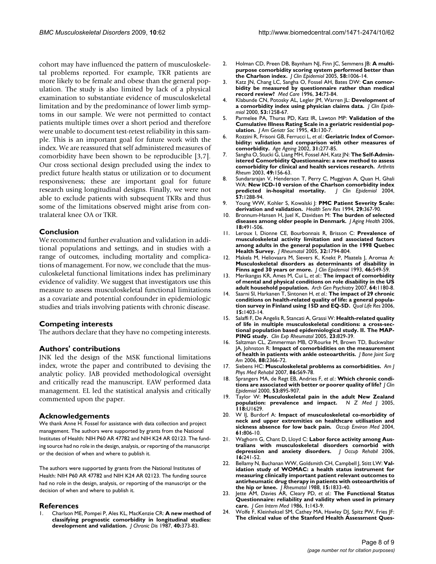cohort may have influenced the pattern of musculoskeletal problems reported. For example, TKR patients are more likely to be female and obese than the general population. The study is also limited by lack of a physical examination to substantiate evidence of musculoskeletal limitation and by the predominance of lower limb symptoms in our sample. We were not permitted to contact patients multiple times over a short period and therefore were unable to document test-retest reliability in this sample. This is an important goal for future work with the index. We are reassured that self administered measures of comorbidity have been shown to be reproducible [3,7]. Our cross sectional design precluded using the index to predict future health status or utilization or to document responsiveness; these are important goal for future research using longitudinal designs. Finally, we were not able to exclude patients with subsequent TKRs and thus some of the limitations observed might arise from contralateral knee OA or TKR.

# **Conclusion**

We recommend further evaluation and validation in additional populations and settings, and in studies with a range of outcomes, including mortality and complications of management. For now, we conclude that the musculoskeletal functional limitations index has preliminary evidence of validity. We suggest that investigators use this measure to assess musculoskeletal functional limitations as a covariate and potential confounder in epidemiologic studies and trials involving patients with chronic disease.

# **Competing interests**

The authors declare that they have no competing interests.

# **Authors' contributions**

JNK led the design of the MSK functional limitations index, wrote the paper and contributed to devising the analytic policy. JAB provided methodological oversight and critically read the manuscript. EAW performed data management. EL led the statistical analysis and critically commented upon the paper.

# **Acknowledgements**

We thank Anne H. Fossel for assistance with data collection and project management. The authors were supported by grants from the National Institutes of Health: NIH P60 AR 47782 and NIH K24 AR 02123. The funding source had no role in the design, analysis, or reporting of the manuscript or the decision of when and where to publish it.

The authors were supported by grants from the National Institutes of Health: NIH P60 AR 47782 and NIH K24 AR 02123. The funding source had no role in the design, analysis, or reporting of the manuscript or the decision of when and where to publish it.

# **References**

1. Charlson ME, Pompei P, Ales KL, MacKenzie CR: **[A new method of](http://www.ncbi.nlm.nih.gov/entrez/query.fcgi?cmd=Retrieve&db=PubMed&dopt=Abstract&list_uids=3558716) [classifying prognostic comorbidity in longitudinal studies:](http://www.ncbi.nlm.nih.gov/entrez/query.fcgi?cmd=Retrieve&db=PubMed&dopt=Abstract&list_uids=3558716) [development and validation.](http://www.ncbi.nlm.nih.gov/entrez/query.fcgi?cmd=Retrieve&db=PubMed&dopt=Abstract&list_uids=3558716)** *J Chronic Dis* 1987, **40:**373-83.

- 2. Holman CD, Preen DB, Baynham NJ, Finn JC, Semmens JB: **[A multi](http://www.ncbi.nlm.nih.gov/entrez/query.fcgi?cmd=Retrieve&db=PubMed&dopt=Abstract&list_uids=16168346)[purpose comorbidity scoring system performed better than](http://www.ncbi.nlm.nih.gov/entrez/query.fcgi?cmd=Retrieve&db=PubMed&dopt=Abstract&list_uids=16168346) [the Charlson index.](http://www.ncbi.nlm.nih.gov/entrez/query.fcgi?cmd=Retrieve&db=PubMed&dopt=Abstract&list_uids=16168346)** *J Clin Epidemiol* 2005, **58:**1006-14.
- 3. Katz JN, Chang LC, Sangha O, Fossel AH, Bates DW: **[Can comor](http://www.ncbi.nlm.nih.gov/entrez/query.fcgi?cmd=Retrieve&db=PubMed&dopt=Abstract&list_uids=8551813)[bidity be measured by questionnaire rather than medical](http://www.ncbi.nlm.nih.gov/entrez/query.fcgi?cmd=Retrieve&db=PubMed&dopt=Abstract&list_uids=8551813) [record review?](http://www.ncbi.nlm.nih.gov/entrez/query.fcgi?cmd=Retrieve&db=PubMed&dopt=Abstract&list_uids=8551813)** *Med Care* 1996, **34:**73-84.
- 4. Klabunde CN, Potosky AL, Legler JM, Warren JL: **[Development of](http://www.ncbi.nlm.nih.gov/entrez/query.fcgi?cmd=Retrieve&db=PubMed&dopt=Abstract&list_uids=11146273) [a comorbidity index using physician claims data.](http://www.ncbi.nlm.nih.gov/entrez/query.fcgi?cmd=Retrieve&db=PubMed&dopt=Abstract&list_uids=11146273)** *J Clin Epidemiol* 2000, **53:**1258-67.
- 5. Parmelee PA, Thuras PD, Katz IR, Lawton MP: **[Validation of the](http://www.ncbi.nlm.nih.gov/entrez/query.fcgi?cmd=Retrieve&db=PubMed&dopt=Abstract&list_uids=7836636) [Cumulative Illness Rating Scale in a geriatric residential pop](http://www.ncbi.nlm.nih.gov/entrez/query.fcgi?cmd=Retrieve&db=PubMed&dopt=Abstract&list_uids=7836636)[ulation.](http://www.ncbi.nlm.nih.gov/entrez/query.fcgi?cmd=Retrieve&db=PubMed&dopt=Abstract&list_uids=7836636)** *J Am Geriatr Soc* 1995, **43:**130-7.
- 6. Rozzini R, Frisoni GB, Ferrucci L, *et al.*: **[Geriatric Index of Comor](http://www.ncbi.nlm.nih.gov/entrez/query.fcgi?cmd=Retrieve&db=PubMed&dopt=Abstract&list_uids=12147566)[bidity: validation and comparison with other measures of](http://www.ncbi.nlm.nih.gov/entrez/query.fcgi?cmd=Retrieve&db=PubMed&dopt=Abstract&list_uids=12147566) [comorbidity.](http://www.ncbi.nlm.nih.gov/entrez/query.fcgi?cmd=Retrieve&db=PubMed&dopt=Abstract&list_uids=12147566)** *Age Ageing* 2002, **31:**277-85.
- 7. Sangha O, Stucki G, Liang MH, Fossel AH, Katz JN: **[The Self-Admin](http://www.ncbi.nlm.nih.gov/entrez/query.fcgi?cmd=Retrieve&db=PubMed&dopt=Abstract&list_uids=12687505)[istered Comorbidity Questionnaire: a new method to assess](http://www.ncbi.nlm.nih.gov/entrez/query.fcgi?cmd=Retrieve&db=PubMed&dopt=Abstract&list_uids=12687505) [comorbidity for clinical and health services research.](http://www.ncbi.nlm.nih.gov/entrez/query.fcgi?cmd=Retrieve&db=PubMed&dopt=Abstract&list_uids=12687505)** *Arthritis Rheum* 2003, **49:**156-63.
- 8. Sundararajan V, Henderson T, Perry C, Muggivan A, Quan H, Ghali WA: **[New ICD-10 version of the Charlson comorbidity index](http://www.ncbi.nlm.nih.gov/entrez/query.fcgi?cmd=Retrieve&db=PubMed&dopt=Abstract&list_uids=15617955)**<br>predicted in-hospital mortality. *J Clin Epidemiol* 2004, **[predicted in-hospital mortality.](http://www.ncbi.nlm.nih.gov/entrez/query.fcgi?cmd=Retrieve&db=PubMed&dopt=Abstract&list_uids=15617955)** *J Clin Epidemiol* 2004, **57:**1288-94.
- 9. Young WW, Kohler S, Kowalski J: **[PMC Patient Severity Scale:](http://www.ncbi.nlm.nih.gov/entrez/query.fcgi?cmd=Retrieve&db=PubMed&dopt=Abstract&list_uids=8063570) [derivation and validation.](http://www.ncbi.nlm.nih.gov/entrez/query.fcgi?cmd=Retrieve&db=PubMed&dopt=Abstract&list_uids=8063570)** *Health Serv Res* 1994, **29:**367-90.
- 10. Bronnum-Hansen H, Juel K, Davidsen M: **[The burden of selected](http://www.ncbi.nlm.nih.gov/entrez/query.fcgi?cmd=Retrieve&db=PubMed&dopt=Abstract&list_uids=16835386) [diseases among older people in Denmark.](http://www.ncbi.nlm.nih.gov/entrez/query.fcgi?cmd=Retrieve&db=PubMed&dopt=Abstract&list_uids=16835386)** *J Aging Health* 2006, **18:**491-506.
- 11. Leroux I, Dionne CE, Bourbonnais R, Brisson C: **[Prevalence of](http://www.ncbi.nlm.nih.gov/entrez/query.fcgi?cmd=Retrieve&db=PubMed&dopt=Abstract&list_uids=16142880) [musculoskeletal activity limitation and associated factors](http://www.ncbi.nlm.nih.gov/entrez/query.fcgi?cmd=Retrieve&db=PubMed&dopt=Abstract&list_uids=16142880) among adults in the general population in the 1998 Quebec [Health Survey.](http://www.ncbi.nlm.nih.gov/entrez/query.fcgi?cmd=Retrieve&db=PubMed&dopt=Abstract&list_uids=16142880)** *J Rheumatol* 2005, **32:**1794-804.
- 12. Makela M, Heliovaara M, Sievers K, Knekt P, Maatela J, Aromaa A: **[Musculoskeletal disorders as determinants of disability in](http://www.ncbi.nlm.nih.gov/entrez/query.fcgi?cmd=Retrieve&db=PubMed&dopt=Abstract&list_uids=8501482) [Finns aged 30 years or more.](http://www.ncbi.nlm.nih.gov/entrez/query.fcgi?cmd=Retrieve&db=PubMed&dopt=Abstract&list_uids=8501482)** *J Clin Epidemiol* 1993, **46:**549-59.
- 13. Merikangas KR, Ames M, Cui L, *et al.*: **[The impact of comorbidity](http://www.ncbi.nlm.nih.gov/entrez/query.fcgi?cmd=Retrieve&db=PubMed&dopt=Abstract&list_uids=17909130) [of mental and physical conditions on role disability in the US](http://www.ncbi.nlm.nih.gov/entrez/query.fcgi?cmd=Retrieve&db=PubMed&dopt=Abstract&list_uids=17909130) [adult household population.](http://www.ncbi.nlm.nih.gov/entrez/query.fcgi?cmd=Retrieve&db=PubMed&dopt=Abstract&list_uids=17909130)** *Arch Gen Psychiatry* 2007, **64:**1180-8.
- 14. Saarni SI, Harkanen T, Sintonen H, *et al.*: **[The impact of 29 chronic](http://www.ncbi.nlm.nih.gov/entrez/query.fcgi?cmd=Retrieve&db=PubMed&dopt=Abstract&list_uids=16960751) [conditions on health-related quality of life: a general popula](http://www.ncbi.nlm.nih.gov/entrez/query.fcgi?cmd=Retrieve&db=PubMed&dopt=Abstract&list_uids=16960751)[tion survey in Finland using 15D and EQ-5D.](http://www.ncbi.nlm.nih.gov/entrez/query.fcgi?cmd=Retrieve&db=PubMed&dopt=Abstract&list_uids=16960751)** *Qual Life Res* 2006, **15:**1403-14.
- 15. Salaffi F, De Angelis R, Stancati A, Grassi W: **[Health-related quality](http://www.ncbi.nlm.nih.gov/entrez/query.fcgi?cmd=Retrieve&db=PubMed&dopt=Abstract&list_uids=16396701) [of life in multiple musculoskeletal conditions: a cross-sec](http://www.ncbi.nlm.nih.gov/entrez/query.fcgi?cmd=Retrieve&db=PubMed&dopt=Abstract&list_uids=16396701)tional population based epidemiological study. II. The MAP-[PING study.](http://www.ncbi.nlm.nih.gov/entrez/query.fcgi?cmd=Retrieve&db=PubMed&dopt=Abstract&list_uids=16396701)** *Clin Exp Rheumatol* 2005, **23:**829-39.
- 16. Saltzman CL, Zimmerman MB, O'Rourke M, Brown TD, Buckwalter A, Johnston R: [Impact of comorbidities on the measurement](http://www.ncbi.nlm.nih.gov/entrez/query.fcgi?cmd=Retrieve&db=PubMed&dopt=Abstract&list_uids=17079392) **[of health in patients with ankle osteoarthritis.](http://www.ncbi.nlm.nih.gov/entrez/query.fcgi?cmd=Retrieve&db=PubMed&dopt=Abstract&list_uids=17079392)** *J Bone Joint Surg Am* 2006, **88:**2366-72.
- 17. Siebens HC: **[Musculoskeletal problems as comorbidities.](http://www.ncbi.nlm.nih.gov/entrez/query.fcgi?cmd=Retrieve&db=PubMed&dopt=Abstract&list_uids=17370373)** *Am J Phys Med Rehabil* 2007, **86:**S69-78.
- 18. Sprangers MA, de Regt EB, Andries F, *et al.*: **[Which chronic condi](http://www.ncbi.nlm.nih.gov/entrez/query.fcgi?cmd=Retrieve&db=PubMed&dopt=Abstract&list_uids=11004416)[tions are associated with better or poorer quality of life?](http://www.ncbi.nlm.nih.gov/entrez/query.fcgi?cmd=Retrieve&db=PubMed&dopt=Abstract&list_uids=11004416)** *J Clin Epidemiol* 2000, **53:**895-907.
- 19. Taylor W: **[Musculoskeletal pain in the adult New Zealand](http://www.ncbi.nlm.nih.gov/entrez/query.fcgi?cmd=Retrieve&db=PubMed&dopt=Abstract&list_uids=16138167) [population: prevalence and impact.](http://www.ncbi.nlm.nih.gov/entrez/query.fcgi?cmd=Retrieve&db=PubMed&dopt=Abstract&list_uids=16138167)** *N Z Med J* 2005, **118:**U1629.
- 20. W IJ, Burdorf A: **[Impact of musculoskeletal co-morbidity of](http://www.ncbi.nlm.nih.gov/entrez/query.fcgi?cmd=Retrieve&db=PubMed&dopt=Abstract&list_uids=15377765) [neck and upper extremities on healthcare utilisation and](http://www.ncbi.nlm.nih.gov/entrez/query.fcgi?cmd=Retrieve&db=PubMed&dopt=Abstract&list_uids=15377765) [sickness absence for low back pain.](http://www.ncbi.nlm.nih.gov/entrez/query.fcgi?cmd=Retrieve&db=PubMed&dopt=Abstract&list_uids=15377765)** *Occup Environ Med* 2004, **61:**806-10.
- 21. Waghorn G, Chant D, Lloyd C: **[Labor force activity among Aus](http://www.ncbi.nlm.nih.gov/entrez/query.fcgi?cmd=Retrieve&db=PubMed&dopt=Abstract&list_uids=16752088)[tralians with musculoskeletal disorders comorbid with](http://www.ncbi.nlm.nih.gov/entrez/query.fcgi?cmd=Retrieve&db=PubMed&dopt=Abstract&list_uids=16752088) [depression and anxiety disorders.](http://www.ncbi.nlm.nih.gov/entrez/query.fcgi?cmd=Retrieve&db=PubMed&dopt=Abstract&list_uids=16752088)** *J Occup Rehabil* 2006, **16:**241-52.
- 22. Bellamy N, Buchanan WW, Goldsmith CH, Campbell J, Stitt LW: **[Val](http://www.ncbi.nlm.nih.gov/entrez/query.fcgi?cmd=Retrieve&db=PubMed&dopt=Abstract&list_uids=3068365)[idation study of WOMAC: a health status instrument for](http://www.ncbi.nlm.nih.gov/entrez/query.fcgi?cmd=Retrieve&db=PubMed&dopt=Abstract&list_uids=3068365) measuring clinically important patient relevant outcomes to antirheumatic drug therapy in patients with osteoarthritis of [the hip or knee.](http://www.ncbi.nlm.nih.gov/entrez/query.fcgi?cmd=Retrieve&db=PubMed&dopt=Abstract&list_uids=3068365)** *J Rheumatol* 1988, **15:**1833-40.
- 23. Jette AM, Davies AR, Cleary PD, *et al.*: **[The Functional Status](http://www.ncbi.nlm.nih.gov/entrez/query.fcgi?cmd=Retrieve&db=PubMed&dopt=Abstract&list_uids=3772582) [Questionnaire: reliability and validity when used in primary](http://www.ncbi.nlm.nih.gov/entrez/query.fcgi?cmd=Retrieve&db=PubMed&dopt=Abstract&list_uids=3772582) [care.](http://www.ncbi.nlm.nih.gov/entrez/query.fcgi?cmd=Retrieve&db=PubMed&dopt=Abstract&list_uids=3772582)** *J Gen Intern Med* 1986, **1:**143-9.
- 24. Wolfe F, Kleinheksel SM, Cathey MA, Hawley DJ, Spitz PW, Fries JF: **[The clinical value of the Stanford Health Assessment Ques](http://www.ncbi.nlm.nih.gov/entrez/query.fcgi?cmd=Retrieve&db=PubMed&dopt=Abstract&list_uids=3204597)-**